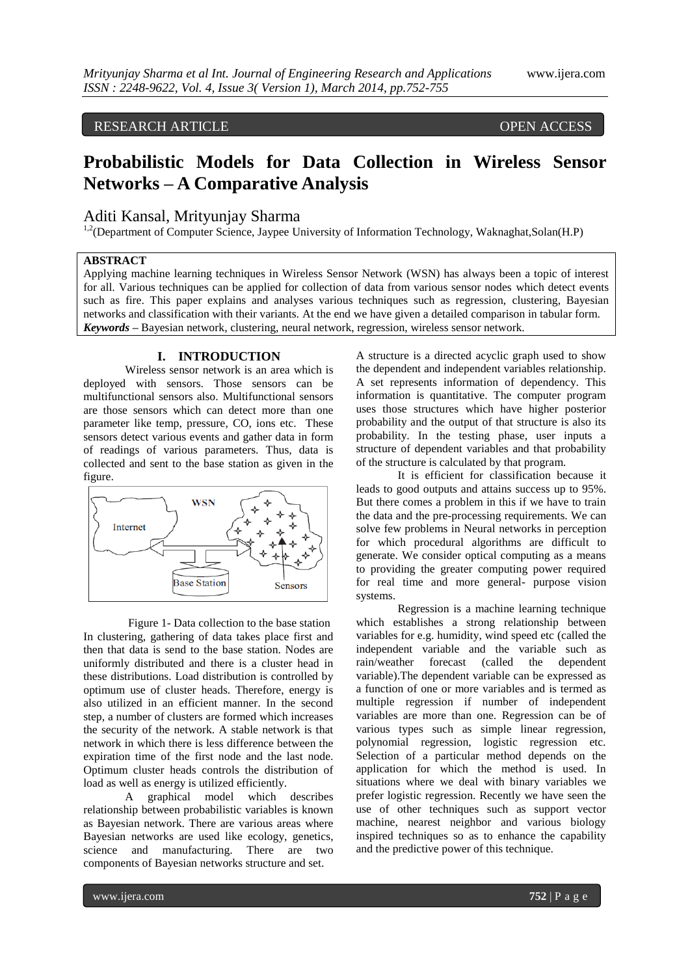# RESEARCH ARTICLE OPEN ACCESS

# **Probabilistic Models for Data Collection in Wireless Sensor Networks – A Comparative Analysis**

# Aditi Kansal, Mrityunjay Sharma

<sup>1,2</sup>(Department of Computer Science, Jaypee University of Information Technology, Waknaghat, Solan(H.P)

# **ABSTRACT**

Applying machine learning techniques in Wireless Sensor Network (WSN) has always been a topic of interest for all. Various techniques can be applied for collection of data from various sensor nodes which detect events such as fire. This paper explains and analyses various techniques such as regression, clustering, Bayesian networks and classification with their variants. At the end we have given a detailed comparison in tabular form. *Keywords* **–** Bayesian network, clustering, neural network, regression, wireless sensor network.

# **I. INTRODUCTION**

Wireless sensor network is an area which is deployed with sensors. Those sensors can be multifunctional sensors also. Multifunctional sensors are those sensors which can detect more than one parameter like temp, pressure, CO, ions etc. These sensors detect various events and gather data in form of readings of various parameters. Thus, data is collected and sent to the base station as given in the figure.



Figure 1- Data collection to the base station In clustering, gathering of data takes place first and then that data is send to the base station. Nodes are uniformly distributed and there is a cluster head in these distributions. Load distribution is controlled by optimum use of cluster heads. Therefore, energy is also utilized in an efficient manner. In the second step, a number of clusters are formed which increases the security of the network. A stable network is that network in which there is less difference between the expiration time of the first node and the last node. Optimum cluster heads controls the distribution of load as well as energy is utilized efficiently.

A graphical model which describes relationship between probabilistic variables is known as Bayesian network. There are various areas where Bayesian networks are used like ecology, genetics, science and manufacturing. There are two components of Bayesian networks structure and set.

A structure is a directed acyclic graph used to show the dependent and independent variables relationship. A set represents information of dependency. This information is quantitative. The computer program uses those structures which have higher posterior probability and the output of that structure is also its probability. In the testing phase, user inputs a structure of dependent variables and that probability of the structure is calculated by that program.

It is efficient for classification because it leads to good outputs and attains success up to 95%. But there comes a problem in this if we have to train the data and the pre-processing requirements. We can solve few problems in Neural networks in perception for which procedural algorithms are difficult to generate. We consider optical computing as a means to providing the greater computing power required for real time and more general- purpose vision systems.

Regression is a machine learning technique which establishes a strong relationship between variables for e.g. humidity, wind speed etc (called the independent variable and the variable such as rain/weather forecast (called the dependent variable).The dependent variable can be expressed as a function of one or more variables and is termed as multiple regression if number of independent variables are more than one. Regression can be of various types such as simple linear regression, polynomial regression, logistic regression etc. Selection of a particular method depends on the application for which the method is used. In situations where we deal with binary variables we prefer logistic regression. Recently we have seen the use of other techniques such as support vector machine, nearest neighbor and various biology inspired techniques so as to enhance the capability and the predictive power of this technique.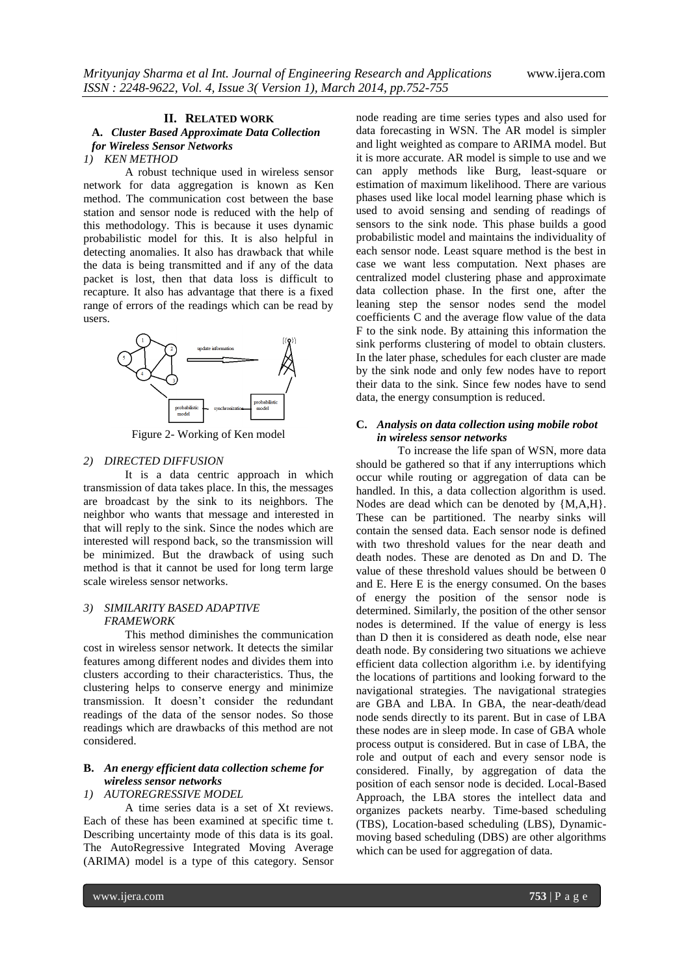#### **II. RELATED WORK A.** *Cluster Based Approximate Data Collection for Wireless Sensor Networks 1) KEN METHOD*

A robust technique used in wireless sensor network for data aggregation is known as Ken method. The communication cost between the base station and sensor node is reduced with the help of this methodology. This is because it uses dynamic probabilistic model for this. It is also helpful in detecting anomalies. It also has drawback that while the data is being transmitted and if any of the data packet is lost, then that data loss is difficult to recapture. It also has advantage that there is a fixed range of errors of the readings which can be read by users.



Figure 2- Working of Ken model

#### *2) DIRECTED DIFFUSION*

It is a data centric approach in which transmission of data takes place. In this, the messages are broadcast by the sink to its neighbors. The neighbor who wants that message and interested in that will reply to the sink. Since the nodes which are interested will respond back, so the transmission will be minimized. But the drawback of using such method is that it cannot be used for long term large scale wireless sensor networks.

#### *3) SIMILARITY BASED ADAPTIVE FRAMEWORK*

This method diminishes the communication cost in wireless sensor network. It detects the similar features among different nodes and divides them into clusters according to their characteristics. Thus, the clustering helps to conserve energy and minimize transmission. It doesn't consider the redundant readings of the data of the sensor nodes. So those readings which are drawbacks of this method are not considered.

# **B.** *An energy efficient data collection scheme for wireless sensor networks*

## *1) AUTOREGRESSIVE MODEL*

A time series data is a set of Xt reviews. Each of these has been examined at specific time t. Describing uncertainty mode of this data is its goal. The AutoRegressive Integrated Moving Average (ARIMA) model is a type of this category. Sensor

node reading are time series types and also used for data forecasting in WSN. The AR model is simpler and light weighted as compare to ARIMA model. But it is more accurate. AR model is simple to use and we can apply methods like Burg, least-square or estimation of maximum likelihood. There are various phases used like local model learning phase which is used to avoid sensing and sending of readings of sensors to the sink node. This phase builds a good probabilistic model and maintains the individuality of each sensor node. Least square method is the best in case we want less computation. Next phases are centralized model clustering phase and approximate data collection phase. In the first one, after the leaning step the sensor nodes send the model coefficients C and the average flow value of the data F to the sink node. By attaining this information the sink performs clustering of model to obtain clusters. In the later phase, schedules for each cluster are made by the sink node and only few nodes have to report their data to the sink. Since few nodes have to send data, the energy consumption is reduced.

## **C.** *Analysis on data collection using mobile robot in wireless sensor networks*

To increase the life span of WSN, more data should be gathered so that if any interruptions which occur while routing or aggregation of data can be handled. In this, a data collection algorithm is used. Nodes are dead which can be denoted by {M,A,H}. These can be partitioned. The nearby sinks will contain the sensed data. Each sensor node is defined with two threshold values for the near death and death nodes. These are denoted as Dn and D. The value of these threshold values should be between 0 and E. Here E is the energy consumed. On the bases of energy the position of the sensor node is determined. Similarly, the position of the other sensor nodes is determined. If the value of energy is less than D then it is considered as death node, else near death node. By considering two situations we achieve efficient data collection algorithm i.e. by identifying the locations of partitions and looking forward to the navigational strategies. The navigational strategies are GBA and LBA. In GBA, the near-death/dead node sends directly to its parent. But in case of LBA these nodes are in sleep mode. In case of GBA whole process output is considered. But in case of LBA, the role and output of each and every sensor node is considered. Finally, by aggregation of data the position of each sensor node is decided. Local-Based Approach, the LBA stores the intellect data and organizes packets nearby. Time-based scheduling (TBS), Location-based scheduling (LBS), Dynamicmoving based scheduling (DBS) are other algorithms which can be used for aggregation of data.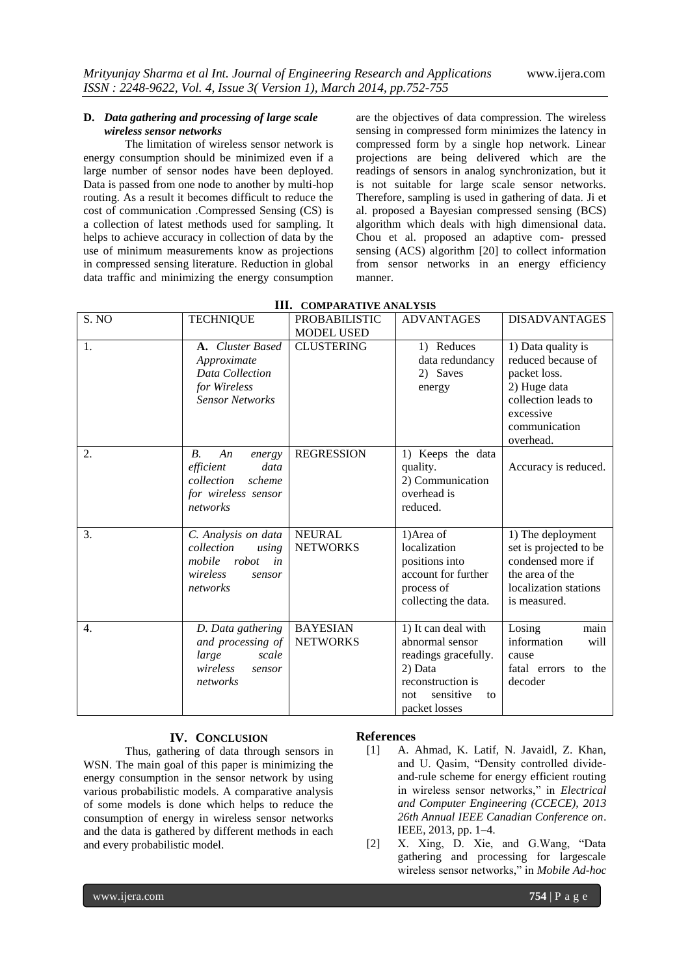#### **D.** *Data gathering and processing of large scale wireless sensor networks*

The limitation of wireless sensor network is energy consumption should be minimized even if a large number of sensor nodes have been deployed. Data is passed from one node to another by multi-hop routing. As a result it becomes difficult to reduce the cost of communication .Compressed Sensing (CS) is a collection of latest methods used for sampling. It helps to achieve accuracy in collection of data by the use of minimum measurements know as projections in compressed sensing literature. Reduction in global data traffic and minimizing the energy consumption

are the objectives of data compression. The wireless sensing in compressed form minimizes the latency in compressed form by a single hop network. Linear projections are being delivered which are the readings of sensors in analog synchronization, but it is not suitable for large scale sensor networks. Therefore, sampling is used in gathering of data. Ji et al. proposed a Bayesian compressed sensing (BCS) algorithm which deals with high dimensional data. Chou et al. proposed an adaptive com- pressed sensing (ACS) algorithm [20] to collect information from sensor networks in an energy efficiency manner.

| S. NO            | <b>TECHNIQUE</b>                                                                                           | <b>PROBABILISTIC</b><br><b>MODEL USED</b> | <b>ADVANTAGES</b>                                                                                                                         | <b>DISADVANTAGES</b>                                                                                                                       |
|------------------|------------------------------------------------------------------------------------------------------------|-------------------------------------------|-------------------------------------------------------------------------------------------------------------------------------------------|--------------------------------------------------------------------------------------------------------------------------------------------|
| 1.               | <b>A.</b> Cluster Based<br>Approximate<br>Data Collection<br>for Wireless<br><b>Sensor Networks</b>        | <b>CLUSTERING</b>                         | 1) Reduces<br>data redundancy<br>2) Saves<br>energy                                                                                       | 1) Data quality is<br>reduced because of<br>packet loss.<br>2) Huge data<br>collection leads to<br>excessive<br>communication<br>overhead. |
| 2.               | <i>B</i> .<br>An<br>energy<br>efficient<br>data<br>collection<br>scheme<br>for wireless sensor<br>networks | <b>REGRESSION</b>                         | 1) Keeps the data<br>quality.<br>2) Communication<br>overhead is<br>reduced.                                                              | Accuracy is reduced.                                                                                                                       |
| 3.               | C. Analysis on data<br>collection<br>using<br>mobile<br>robot<br>in<br>wireless<br>sensor<br>networks      | <b>NEURAL</b><br><b>NETWORKS</b>          | 1) Area of<br>localization<br>positions into<br>account for further<br>process of<br>collecting the data.                                 | 1) The deployment<br>set is projected to be<br>condensed more if<br>the area of the<br>localization stations<br>is measured.               |
| $\overline{4}$ . | D. Data gathering<br>and processing of<br>large<br>scale<br>wireless<br>sensor<br>networks                 | <b>BAYESIAN</b><br><b>NETWORKS</b>        | 1) It can deal with<br>abnormal sensor<br>readings gracefully.<br>2) Data<br>reconstruction is<br>sensitive<br>to<br>not<br>packet losses | Losing<br>main<br>information<br>will<br>cause<br>fatal errors to the<br>decoder                                                           |

#### **III. COMPARATIVE ANALYSIS**

#### **IV. CONCLUSION**

Thus, gathering of data through sensors in WSN. The main goal of this paper is minimizing the energy consumption in the sensor network by using various probabilistic models. A comparative analysis of some models is done which helps to reduce the consumption of energy in wireless sensor networks and the data is gathered by different methods in each and every probabilistic model.

### **References**

- [1] A. Ahmad, K. Latif, N. Javaidl, Z. Khan, and U. Qasim, "Density controlled divideand-rule scheme for energy efficient routing in wireless sensor networks," in *Electrical and Computer Engineering (CCECE), 2013 26th Annual IEEE Canadian Conference on*. IEEE, 2013, pp. 1–4.
- [2] X. Xing, D. Xie, and G.Wang, "Data gathering and processing for largescale wireless sensor networks," in *Mobile Ad-hoc*